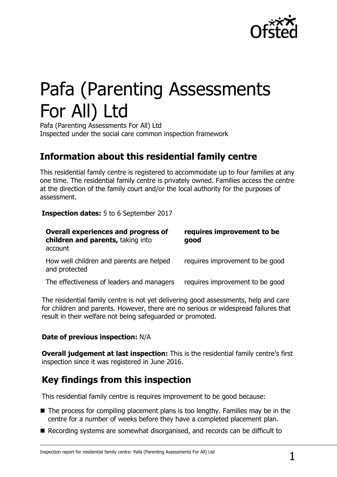

# Pafa (Parenting Assessments For All) Ltd

Pafa (Parenting Assessments For All) Ltd Inspected under the social care common inspection framework

## **Information about this residential family centre**

This residential family centre is registered to accommodate up to four families at any one time. The residential family centre is privately owned. Families access the centre at the direction of the family court and/or the local authority for the purposes of assessment.

**Inspection dates:** 5 to 6 September 2017

| <b>Overall experiences and progress of</b><br>children and parents, taking into<br>account | requires improvement to be<br>good |
|--------------------------------------------------------------------------------------------|------------------------------------|
| How well children and parents are helped<br>and protected                                  | requires improvement to be good    |
| The effectiveness of leaders and managers                                                  | requires improvement to be good    |

The residential family centre is not yet delivering good assessments, help and care for children and parents. However, there are no serious or widespread failures that result in their welfare not being safeguarded or promoted.

#### **Date of previous inspection:** N/A

**Overall judgement at last inspection:** This is the residential family centre's first inspection since it was registered in June 2016.

# **Key findings from this inspection**

This residential family centre is requires improvement to be good because:

- $\blacksquare$  The process for compiling placement plans is too lengthy. Families may be in the centre for a number of weeks before they have a completed placement plan.
- Recording systems are somewhat disorganised, and records can be difficult to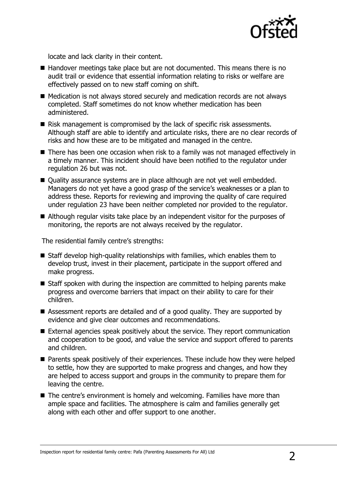

locate and lack clarity in their content.

- Handover meetings take place but are not documented. This means there is no audit trail or evidence that essential information relating to risks or welfare are effectively passed on to new staff coming on shift.
- Medication is not always stored securely and medication records are not always completed. Staff sometimes do not know whether medication has been administered.
- Risk management is compromised by the lack of specific risk assessments. Although staff are able to identify and articulate risks, there are no clear records of risks and how these are to be mitigated and managed in the centre.
- There has been one occasion when risk to a family was not managed effectively in a timely manner. This incident should have been notified to the regulator under regulation 26 but was not.
- Quality assurance systems are in place although are not yet well embedded. Managers do not yet have a good grasp of the service's weaknesses or a plan to address these. Reports for reviewing and improving the quality of care required under regulation 23 have been neither completed nor provided to the regulator.
- Although regular visits take place by an independent visitor for the purposes of monitoring, the reports are not always received by the regulator.

The residential family centre's strengths:

- $\blacksquare$  Staff develop high-quality relationships with families, which enables them to develop trust, invest in their placement, participate in the support offered and make progress.
- Staff spoken with during the inspection are committed to helping parents make progress and overcome barriers that impact on their ability to care for their children.
- Assessment reports are detailed and of a good quality. They are supported by evidence and give clear outcomes and recommendations.
- External agencies speak positively about the service. They report communication and cooperation to be good, and value the service and support offered to parents and children.
- **Parents speak positively of their experiences. These include how they were helped** to settle, how they are supported to make progress and changes, and how they are helped to access support and groups in the community to prepare them for leaving the centre.
- The centre's environment is homely and welcoming. Families have more than ample space and facilities. The atmosphere is calm and families generally get along with each other and offer support to one another.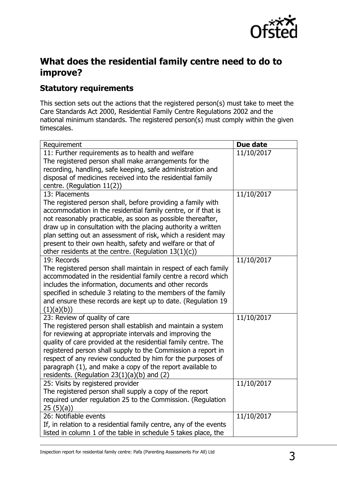

## **What does the residential family centre need to do to improve?**

### **Statutory requirements**

This section sets out the actions that the registered person(s) must take to meet the Care Standards Act 2000, Residential Family Centre Regulations 2002 and the national minimum standards. The registered person(s) must comply within the given timescales.

| Requirement                                                                                                                  | Due date   |
|------------------------------------------------------------------------------------------------------------------------------|------------|
| 11: Further requirements as to health and welfare                                                                            | 11/10/2017 |
| The registered person shall make arrangements for the                                                                        |            |
| recording, handling, safe keeping, safe administration and                                                                   |            |
| disposal of medicines received into the residential family                                                                   |            |
| centre. (Regulation $11(2)$ )                                                                                                |            |
| 13: Placements                                                                                                               | 11/10/2017 |
| The registered person shall, before providing a family with                                                                  |            |
| accommodation in the residential family centre, or if that is<br>not reasonably practicable, as soon as possible thereafter, |            |
| draw up in consultation with the placing authority a written                                                                 |            |
| plan setting out an assessment of risk, which a resident may                                                                 |            |
| present to their own health, safety and welfare or that of                                                                   |            |
| other residents at the centre. (Regulation $13(1)(c)$ )                                                                      |            |
| 19: Records                                                                                                                  | 11/10/2017 |
| The registered person shall maintain in respect of each family                                                               |            |
| accommodated in the residential family centre a record which                                                                 |            |
| includes the information, documents and other records                                                                        |            |
| specified in schedule 3 relating to the members of the family                                                                |            |
| and ensure these records are kept up to date. (Regulation 19                                                                 |            |
| (1)(a)(b))                                                                                                                   |            |
| 23: Review of quality of care                                                                                                | 11/10/2017 |
| The registered person shall establish and maintain a system                                                                  |            |
| for reviewing at appropriate intervals and improving the                                                                     |            |
| quality of care provided at the residential family centre. The                                                               |            |
| registered person shall supply to the Commission a report in<br>respect of any review conducted by him for the purposes of   |            |
| paragraph (1), and make a copy of the report available to                                                                    |            |
| residents. (Regulation $23(1)(a)(b)$ and (2)                                                                                 |            |
| 25: Visits by registered provider                                                                                            | 11/10/2017 |
| The registered person shall supply a copy of the report                                                                      |            |
| required under regulation 25 to the Commission. (Regulation                                                                  |            |
| 25(5)(a)                                                                                                                     |            |
| 26: Notifiable events                                                                                                        | 11/10/2017 |
| If, in relation to a residential family centre, any of the events                                                            |            |
| listed in column 1 of the table in schedule 5 takes place, the                                                               |            |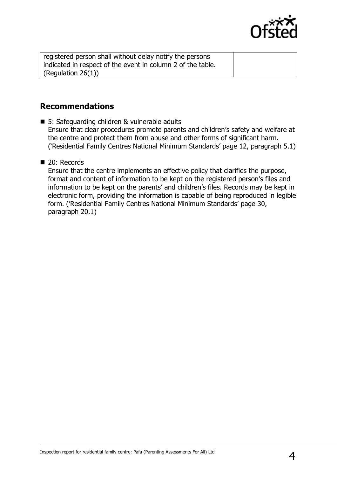

| registered person shall without delay notify the persons    |  |
|-------------------------------------------------------------|--|
| indicated in respect of the event in column 2 of the table. |  |
| (Regulation $26(1)$ )                                       |  |

#### **Recommendations**

■ 5: Safeguarding children & vulnerable adults Ensure that clear procedures promote parents and children's safety and welfare at the centre and protect them from abuse and other forms of significant harm. ('Residential Family Centres National Minimum Standards' page 12, paragraph 5.1)

#### 20: Records

Ensure that the centre implements an effective policy that clarifies the purpose, format and content of information to be kept on the registered person's files and information to be kept on the parents' and children's files. Records may be kept in electronic form, providing the information is capable of being reproduced in legible form. ('Residential Family Centres National Minimum Standards' page 30, paragraph 20.1)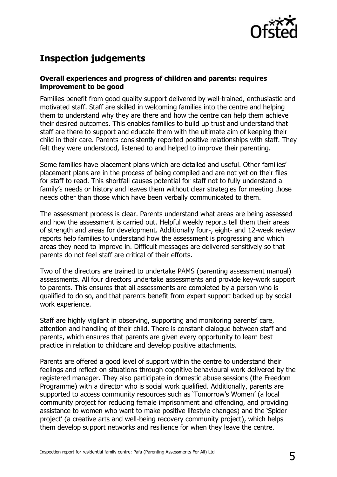

# **Inspection judgements**

#### **Overall experiences and progress of children and parents: requires improvement to be good**

Families benefit from good quality support delivered by well-trained, enthusiastic and motivated staff. Staff are skilled in welcoming families into the centre and helping them to understand why they are there and how the centre can help them achieve their desired outcomes. This enables families to build up trust and understand that staff are there to support and educate them with the ultimate aim of keeping their child in their care. Parents consistently reported positive relationships with staff. They felt they were understood, listened to and helped to improve their parenting.

Some families have placement plans which are detailed and useful. Other families' placement plans are in the process of being compiled and are not yet on their files for staff to read. This shortfall causes potential for staff not to fully understand a family's needs or history and leaves them without clear strategies for meeting those needs other than those which have been verbally communicated to them.

The assessment process is clear. Parents understand what areas are being assessed and how the assessment is carried out. Helpful weekly reports tell them their areas of strength and areas for development. Additionally four-, eight- and 12-week review reports help families to understand how the assessment is progressing and which areas they need to improve in. Difficult messages are delivered sensitively so that parents do not feel staff are critical of their efforts.

Two of the directors are trained to undertake PAMS (parenting assessment manual) assessments. All four directors undertake assessments and provide key-work support to parents. This ensures that all assessments are completed by a person who is qualified to do so, and that parents benefit from expert support backed up by social work experience.

Staff are highly vigilant in observing, supporting and monitoring parents' care, attention and handling of their child. There is constant dialogue between staff and parents, which ensures that parents are given every opportunity to learn best practice in relation to childcare and develop positive attachments.

Parents are offered a good level of support within the centre to understand their feelings and reflect on situations through cognitive behavioural work delivered by the registered manager. They also participate in domestic abuse sessions (the Freedom Programme) with a director who is social work qualified. Additionally, parents are supported to access community resources such as 'Tomorrow's Women' (a local community project for reducing female imprisonment and offending, and providing assistance to women who want to make positive lifestyle changes) and the 'Spider project' (a creative arts and well-being recovery community project), which helps them develop support networks and resilience for when they leave the centre.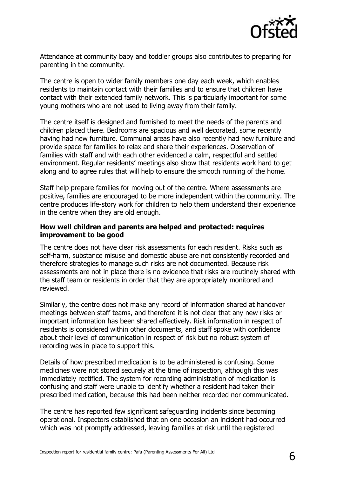

Attendance at community baby and toddler groups also contributes to preparing for parenting in the community.

The centre is open to wider family members one day each week, which enables residents to maintain contact with their families and to ensure that children have contact with their extended family network. This is particularly important for some young mothers who are not used to living away from their family.

The centre itself is designed and furnished to meet the needs of the parents and children placed there. Bedrooms are spacious and well decorated, some recently having had new furniture. Communal areas have also recently had new furniture and provide space for families to relax and share their experiences. Observation of families with staff and with each other evidenced a calm, respectful and settled environment. Regular residents' meetings also show that residents work hard to get along and to agree rules that will help to ensure the smooth running of the home.

Staff help prepare families for moving out of the centre. Where assessments are positive, families are encouraged to be more independent within the community. The centre produces life-story work for children to help them understand their experience in the centre when they are old enough.

#### **How well children and parents are helped and protected: requires improvement to be good**

The centre does not have clear risk assessments for each resident. Risks such as self-harm, substance misuse and domestic abuse are not consistently recorded and therefore strategies to manage such risks are not documented. Because risk assessments are not in place there is no evidence that risks are routinely shared with the staff team or residents in order that they are appropriately monitored and reviewed.

Similarly, the centre does not make any record of information shared at handover meetings between staff teams, and therefore it is not clear that any new risks or important information has been shared effectively. Risk information in respect of residents is considered within other documents, and staff spoke with confidence about their level of communication in respect of risk but no robust system of recording was in place to support this.

Details of how prescribed medication is to be administered is confusing. Some medicines were not stored securely at the time of inspection, although this was immediately rectified. The system for recording administration of medication is confusing and staff were unable to identify whether a resident had taken their prescribed medication, because this had been neither recorded nor communicated.

The centre has reported few significant safeguarding incidents since becoming operational. Inspectors established that on one occasion an incident had occurred which was not promptly addressed, leaving families at risk until the registered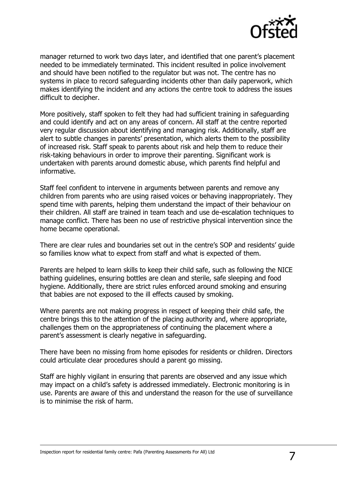

manager returned to work two days later, and identified that one parent's placement needed to be immediately terminated. This incident resulted in police involvement and should have been notified to the regulator but was not. The centre has no systems in place to record safeguarding incidents other than daily paperwork, which makes identifying the incident and any actions the centre took to address the issues difficult to decipher.

More positively, staff spoken to felt they had had sufficient training in safeguarding and could identify and act on any areas of concern. All staff at the centre reported very regular discussion about identifying and managing risk. Additionally, staff are alert to subtle changes in parents' presentation, which alerts them to the possibility of increased risk. Staff speak to parents about risk and help them to reduce their risk-taking behaviours in order to improve their parenting. Significant work is undertaken with parents around domestic abuse, which parents find helpful and informative.

Staff feel confident to intervene in arguments between parents and remove any children from parents who are using raised voices or behaving inappropriately. They spend time with parents, helping them understand the impact of their behaviour on their children. All staff are trained in team teach and use de-escalation techniques to manage conflict. There has been no use of restrictive physical intervention since the home became operational.

There are clear rules and boundaries set out in the centre's SOP and residents' guide so families know what to expect from staff and what is expected of them.

Parents are helped to learn skills to keep their child safe, such as following the NICE bathing guidelines, ensuring bottles are clean and sterile, safe sleeping and food hygiene. Additionally, there are strict rules enforced around smoking and ensuring that babies are not exposed to the ill effects caused by smoking.

Where parents are not making progress in respect of keeping their child safe, the centre brings this to the attention of the placing authority and, where appropriate, challenges them on the appropriateness of continuing the placement where a parent's assessment is clearly negative in safeguarding.

There have been no missing from home episodes for residents or children. Directors could articulate clear procedures should a parent go missing.

Staff are highly vigilant in ensuring that parents are observed and any issue which may impact on a child's safety is addressed immediately. Electronic monitoring is in use. Parents are aware of this and understand the reason for the use of surveillance is to minimise the risk of harm.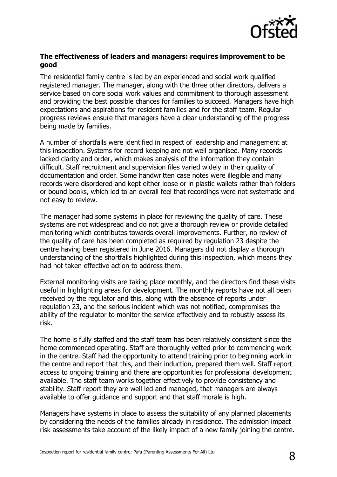

#### **The effectiveness of leaders and managers: requires improvement to be good**

The residential family centre is led by an experienced and social work qualified registered manager. The manager, along with the three other directors, delivers a service based on core social work values and commitment to thorough assessment and providing the best possible chances for families to succeed. Managers have high expectations and aspirations for resident families and for the staff team. Regular progress reviews ensure that managers have a clear understanding of the progress being made by families.

A number of shortfalls were identified in respect of leadership and management at this inspection. Systems for record keeping are not well organised. Many records lacked clarity and order, which makes analysis of the information they contain difficult. Staff recruitment and supervision files varied widely in their quality of documentation and order. Some handwritten case notes were illegible and many records were disordered and kept either loose or in plastic wallets rather than folders or bound books, which led to an overall feel that recordings were not systematic and not easy to review.

The manager had some systems in place for reviewing the quality of care. These systems are not widespread and do not give a thorough review or provide detailed monitoring which contributes towards overall improvements. Further, no review of the quality of care has been completed as required by regulation 23 despite the centre having been registered in June 2016. Managers did not display a thorough understanding of the shortfalls highlighted during this inspection, which means they had not taken effective action to address them.

External monitoring visits are taking place monthly, and the directors find these visits useful in highlighting areas for development. The monthly reports have not all been received by the regulator and this, along with the absence of reports under regulation 23, and the serious incident which was not notified, compromises the ability of the regulator to monitor the service effectively and to robustly assess its risk.

The home is fully staffed and the staff team has been relatively consistent since the home commenced operating. Staff are thoroughly vetted prior to commencing work in the centre. Staff had the opportunity to attend training prior to beginning work in the centre and report that this, and their induction, prepared them well. Staff report access to ongoing training and there are opportunities for professional development available. The staff team works together effectively to provide consistency and stability. Staff report they are well led and managed, that managers are always available to offer guidance and support and that staff morale is high.

Managers have systems in place to assess the suitability of any planned placements by considering the needs of the families already in residence. The admission impact risk assessments take account of the likely impact of a new family joining the centre.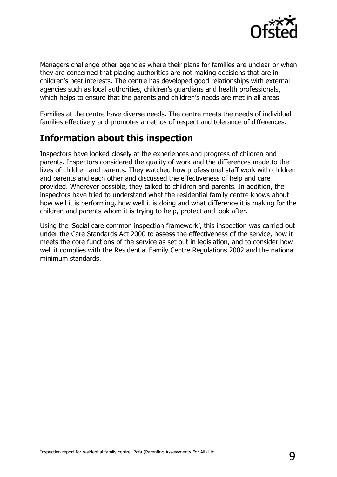

Managers challenge other agencies where their plans for families are unclear or when they are concerned that placing authorities are not making decisions that are in children's best interests. The centre has developed good relationships with external agencies such as local authorities, children's guardians and health professionals, which helps to ensure that the parents and children's needs are met in all areas.

Families at the centre have diverse needs. The centre meets the needs of individual families effectively and promotes an ethos of respect and tolerance of differences.

## **Information about this inspection**

Inspectors have looked closely at the experiences and progress of children and parents. Inspectors considered the quality of work and the differences made to the lives of children and parents. They watched how professional staff work with children and parents and each other and discussed the effectiveness of help and care provided. Wherever possible, they talked to children and parents. In addition, the inspectors have tried to understand what the residential family centre knows about how well it is performing, how well it is doing and what difference it is making for the children and parents whom it is trying to help, protect and look after.

Using the 'Social care common inspection framework', this inspection was carried out under the Care Standards Act 2000 to assess the effectiveness of the service, how it meets the core functions of the service as set out in legislation, and to consider how well it complies with the Residential Family Centre Regulations 2002 and the national minimum standards.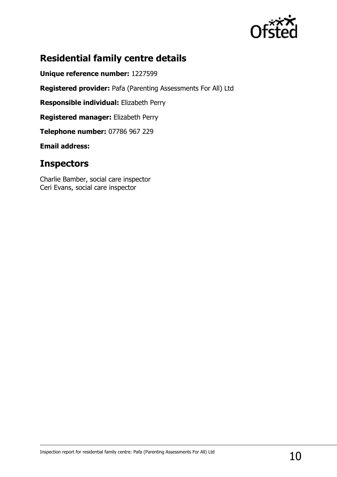

# **Residential family centre details**

**Unique reference number:** 1227599

**Registered provider:** Pafa (Parenting Assessments For All) Ltd

**Responsible individual:** Elizabeth Perry

**Registered manager:** Elizabeth Perry

**Telephone number:** 07786 967 229

**Email address:** 

## **Inspectors**

Charlie Bamber, social care inspector Ceri Evans, social care inspector